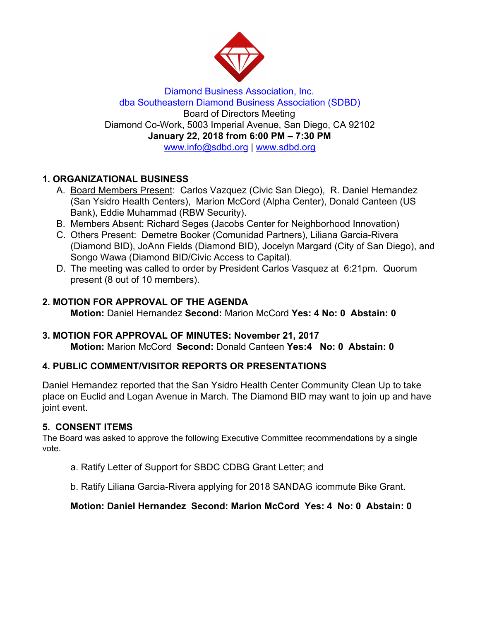

Diamond Business Association, Inc. dba Southeastern Diamond Business Association (SDBD) Board of Directors Meeting Diamond Co-Work, 5003 Imperial Avenue, San Diego, CA 92102 **January 22, 2018 from 6:00 PM – 7:30 PM** www.info@sdbd.org | [www.sdbd.org](http://www.sdbd.org/)

# **1. ORGANIZATIONAL BUSINESS**

- A. Board Members Present: Carlos Vazquez (Civic San Diego), R. Daniel Hernandez (San Ysidro Health Centers), Marion McCord (Alpha Center), Donald Canteen (US Bank), Eddie Muhammad (RBW Security).
- B. Members Absent: Richard Seges (Jacobs Center for Neighborhood Innovation)
- C. Others Present: Demetre Booker (Comunidad Partners), Liliana Garcia-Rivera (Diamond BID), JoAnn Fields (Diamond BID), Jocelyn Margard (City of San Diego), and Songo Wawa (Diamond BID/Civic Access to Capital).
- D. The meeting was called to order by President Carlos Vasquez at 6:21pm. Quorum present (8 out of 10 members).

#### **2. MOTION FOR APPROVAL OF THE AGENDA**

**Motion:** Daniel Hernandez **Second:** Marion McCord **Yes: 4 No: 0 Abstain: 0**

#### **3. MOTION FOR APPROVAL OF MINUTES: November 21, 2017 Motion:** Marion McCord **Second:** Donald Canteen **Yes:4 No: 0 Abstain: 0**

# **4. PUBLIC COMMENT/VISITOR REPORTS OR PRESENTATIONS**

Daniel Hernandez reported that the San Ysidro Health Center Community Clean Up to take place on Euclid and Logan Avenue in March. The Diamond BID may want to join up and have joint event.

#### **5. CONSENT ITEMS**

The Board was asked to approve the following Executive Committee recommendations by a single vote.

- a. Ratify Letter of Support for SBDC CDBG Grant Letter; and
- b. Ratify Liliana Garcia-Rivera applying for 2018 SANDAG icommute Bike Grant.

#### **Motion: Daniel Hernandez Second: Marion McCord Yes: 4 No: 0 Abstain: 0**